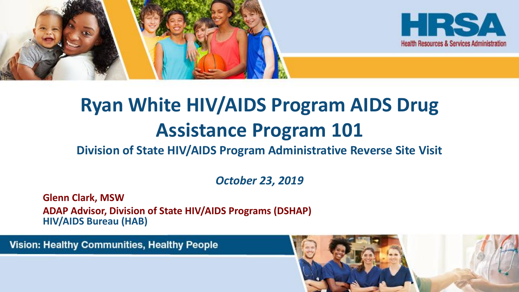



# **Ryan White HIV/AIDS Program AIDS Drug Assistance Program 101**

#### **Division of State HIV/AIDS Program Administrative Reverse Site Visit**

*October 23, 2019*

**Glenn Clark, MSW ADAP Advisor, Division of State HIV/AIDS Programs (DSHAP) HIV/AIDS Bureau (HAB)**

**Vision: Healthy Communities, Healthy People** 

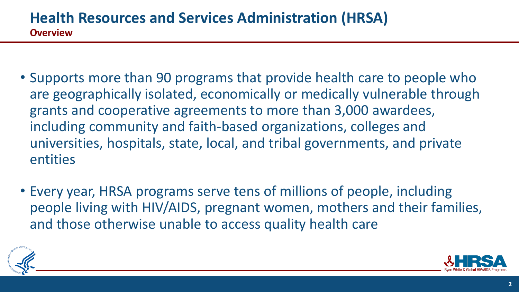- Supports more than 90 programs that provide health care to people who are geographically isolated, economically or medically vulnerable through grants and cooperative agreements to more than 3,000 awardees, including community and faith-based organizations, colleges and universities, hospitals, state, local, and tribal governments, and private entities
- Every year, HRSA programs serve tens of millions of people, including people living with HIV/AIDS, pregnant women, mothers and their families, and those otherwise unable to access quality health care



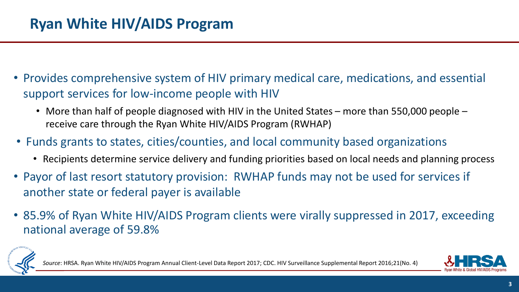- Provides comprehensive system of HIV primary medical care, medications, and essential support services for low-income people with HIV
	- More than half of people diagnosed with HIV in the United States more than 550,000 people receive care through the Ryan White HIV/AIDS Program (RWHAP)
- Funds grants to states, cities/counties, and local community based organizations
	- Recipients determine service delivery and funding priorities based on local needs and planning process
- Payor of last resort statutory provision: RWHAP funds may not be used for services if another state or federal payer is available
- 85.9% of Ryan White HIV/AIDS Program clients were virally suppressed in 2017, exceeding national average of 59.8%



am Annual Client-Level Data Report 2017; CDC. HIV Surveillance Supplemental Report 2016;21(No. 4)

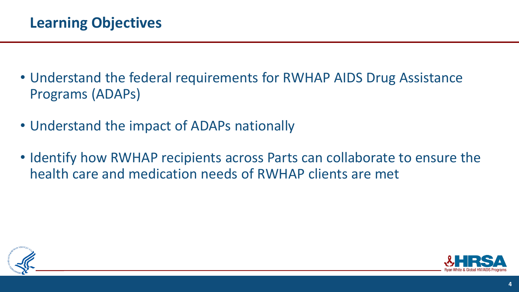- Understand the federal requirements for RWHAP AIDS Drug Assistance Programs (ADAPs)
- Understand the impact of ADAPs nationally
- Identify how RWHAP recipients across Parts can collaborate to ensure the health care and medication needs of RWHAP clients are met



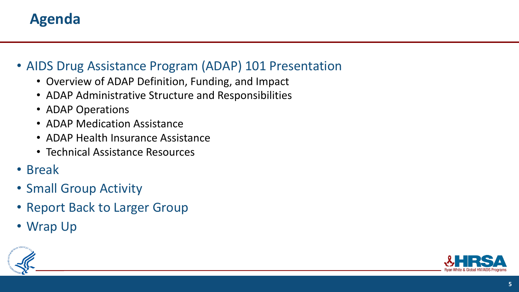# **Agenda**

#### • AIDS Drug Assistance Program (ADAP) 101 Presentation

- Overview of ADAP Definition, Funding, and Impact
- ADAP Administrative Structure and Responsibilities
- ADAP Operations
- ADAP Medication Assistance
- ADAP Health Insurance Assistance
- Technical Assistance Resources
- Break
- Small Group Activity
- Report Back to Larger Group
- Wrap Up



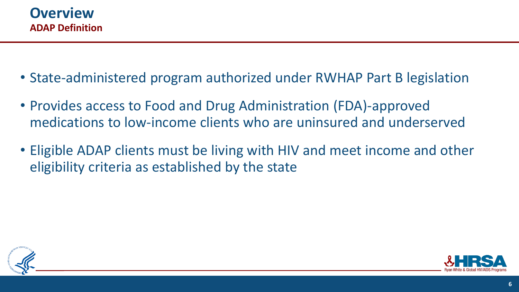

- State-administered program authorized under RWHAP Part B legislation
- Provides access to Food and Drug Administration (FDA)-approved medications to low-income clients who are uninsured and underserved
- Eligible ADAP clients must be living with HIV and meet income and other eligibility criteria as established by the state



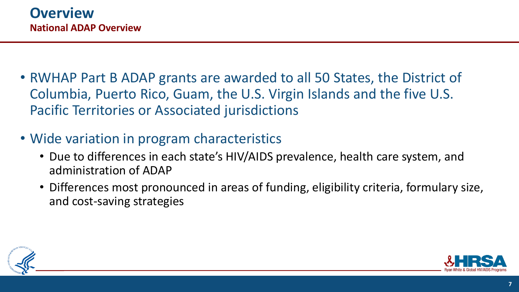- RWHAP Part B ADAP grants are awarded to all 50 States, the District of Columbia, Puerto Rico, Guam, the U.S. Virgin Islands and the five U.S. Pacific Territories or Associated jurisdictions
- Wide variation in program characteristics
	- Due to differences in each state's HIV/AIDS prevalence, health care system, and administration of ADAP
	- Differences most pronounced in areas of funding, eligibility criteria, formulary size, and cost-saving strategies



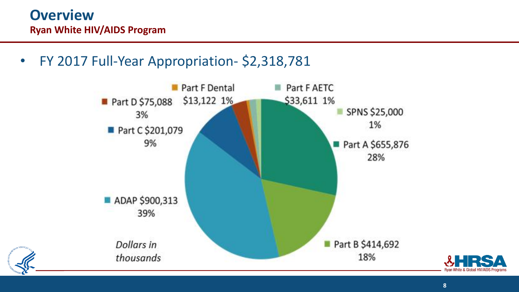• FY 2017 Full-Year Appropriation- \$2,318,781



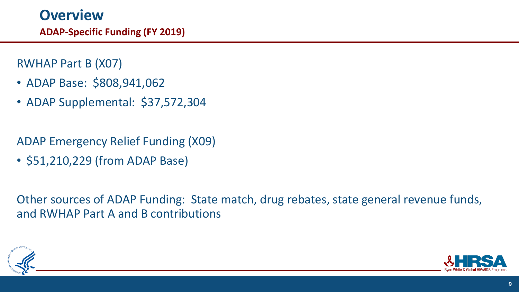RWHAP Part B (X07)

- ADAP Base: \$808,941,062
- ADAP Supplemental: \$37,572,304

ADAP Emergency Relief Funding (X09)

• \$51,210,229 (from ADAP Base)

Other sources of ADAP Funding: State match, drug rebates, state general revenue funds, and RWHAP Part A and B contributions



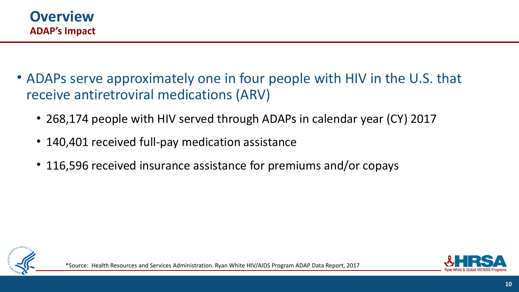- ADAPs serve approximately one in four people with HIV in the U.S. that receive antiretroviral medications (ARV)
	- 268,174 people with HIV served through ADAPs in calendar year (CY) 2017
	- 140,401 received full-pay medication assistance
	- 116,596 received insurance assistance for premiums and/or copays



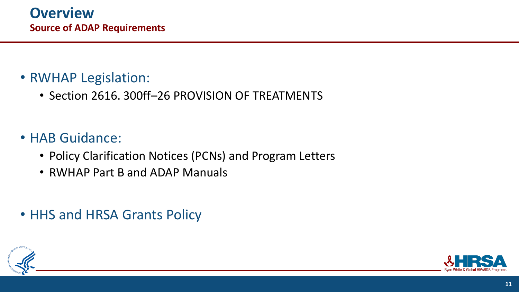# • RWHAP Legislation:

• Section 2616. 300ff–26 PROVISION OF TREATMENTS

# • HAB Guidance:

- Policy Clarification Notices (PCNs) and Program Letters
- RWHAP Part B and ADAP Manuals
- HHS and HRSA Grants Policy



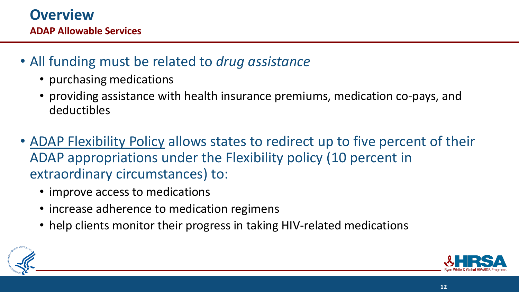# • All funding must be related to *drug assistance*

- purchasing medications
- providing assistance with health insurance premiums, medication co-pays, and deductibles
- ADAP Flexibility Policy allows states to redirect up to five percent of their ADAP appropriations under the Flexibility policy (10 percent in extraordinary circumstances) to:
	- improve access to medications
	- increase adherence to medication regimens
	- help clients monitor their progress in taking HIV-related medications



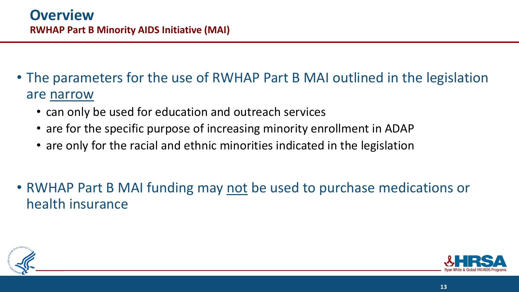- The parameters for the use of RWHAP Part B MAI outlined in the legislation are narrow
	- can only be used for education and outreach services
	- are for the specific purpose of increasing minority enrollment in ADAP
	- are only for the racial and ethnic minorities indicated in the legislation
- RWHAP Part B MAI funding may not be used to purchase medications or health insurance



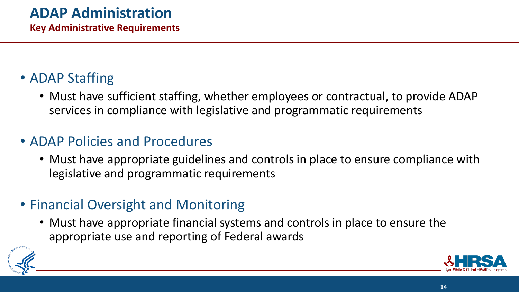# • ADAP Staffing

• Must have sufficient staffing, whether employees or contractual, to provide ADAP services in compliance with legislative and programmatic requirements

# • ADAP Policies and Procedures

- Must have appropriate guidelines and controls in place to ensure compliance with legislative and programmatic requirements
- Financial Oversight and Monitoring
	- Must have appropriate financial systems and controls in place to ensure the appropriate use and reporting of Federal awards



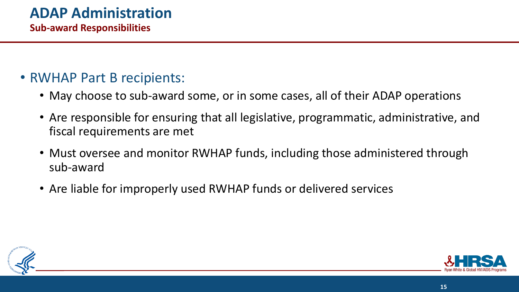#### • RWHAP Part B recipients:

- May choose to sub-award some, or in some cases, all of their ADAP operations
- Are responsible for ensuring that all legislative, programmatic, administrative, and fiscal requirements are met
- Must oversee and monitor RWHAP funds, including those administered through sub-award
- Are liable for improperly used RWHAP funds or delivered services



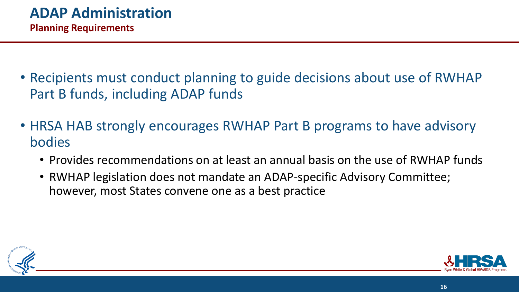- Recipients must conduct planning to guide decisions about use of RWHAP Part B funds, including ADAP funds
- HRSA HAB strongly encourages RWHAP Part B programs to have advisory bodies
	- Provides recommendations on at least an annual basis on the use of RWHAP funds
	- RWHAP legislation does not mandate an ADAP-specific Advisory Committee; however, most States convene one as a best practice



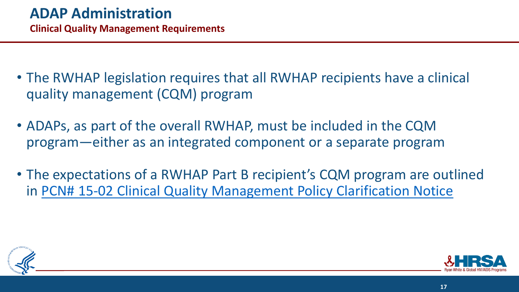- The RWHAP legislation requires that all RWHAP recipients have a clinical quality management (CQM) program
- ADAPs, as part of the overall RWHAP, must be included in the CQM program—either as an integrated component or a separate program
- The expectations of a RWHAP Part B recipient's CQM program are outlined in [PCN# 15-02 Clinical Quality Management Policy Clarification Notice](https://hab.hrsa.gov/sites/default/files/hab/Global/clinicalqualitymanagementpcn.pdf)



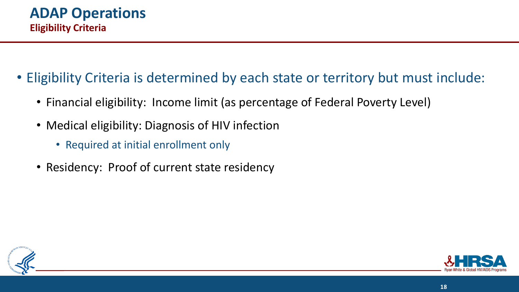- Eligibility Criteria is determined by each state or territory but must include:
	- Financial eligibility: Income limit (as percentage of Federal Poverty Level)
	- Medical eligibility: Diagnosis of HIV infection
		- Required at initial enrollment only
	- Residency: Proof of current state residency



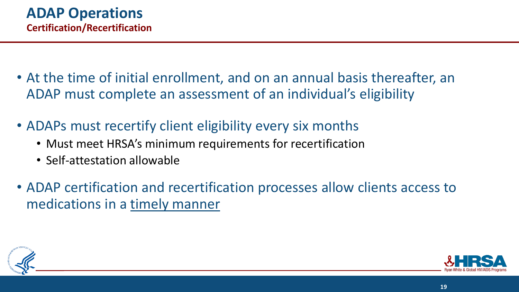- At the time of initial enrollment, and on an annual basis thereafter, an ADAP must complete an assessment of an individual's eligibility
- ADAPs must recertify client eligibility every six months
	- Must meet HRSA's minimum requirements for recertification
	- Self-attestation allowable
- ADAP certification and recertification processes allow clients access to medications in a timely manner



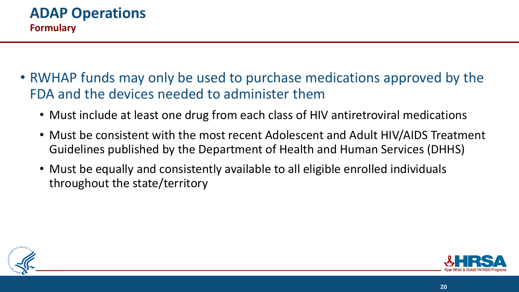- RWHAP funds may only be used to purchase medications approved by the FDA and the devices needed to administer them
	- Must include at least one drug from each class of HIV antiretroviral medications
	- Must be consistent with the most recent Adolescent and Adult HIV/AIDS Treatment Guidelines published by the Department of Health and Human Services (DHHS)
	- Must be equally and consistently available to all eligible enrolled individuals throughout the state/territory



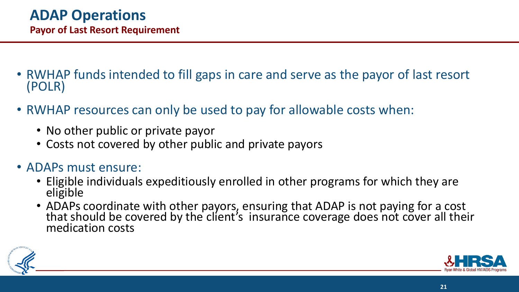- RWHAP funds intended to fill gaps in care and serve as the payor of last resort (POLR)
- RWHAP resources can only be used to pay for allowable costs when:
	- No other public or private payor
	- Costs not covered by other public and private payors
- ADAPs must ensure:
	- Eligible individuals expeditiously enrolled in other programs for which they are eligible
	- ADAPs coordinate with other payors, ensuring that ADAP is not paying for a cost that should be covered by the client's insurance coverage does not cover all their medication costs



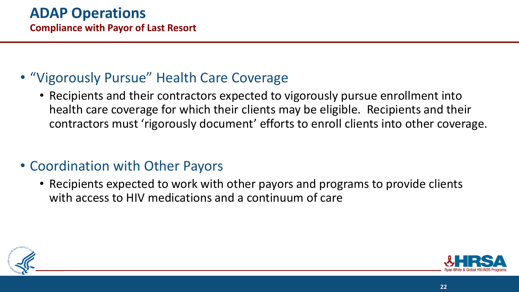# • "Vigorously Pursue" Health Care Coverage

• Recipients and their contractors expected to vigorously pursue enrollment into health care coverage for which their clients may be eligible. Recipients and their contractors must 'rigorously document' efforts to enroll clients into other coverage.

# • Coordination with Other Payors

• Recipients expected to work with other payors and programs to provide clients with access to HIV medications and a continuum of care



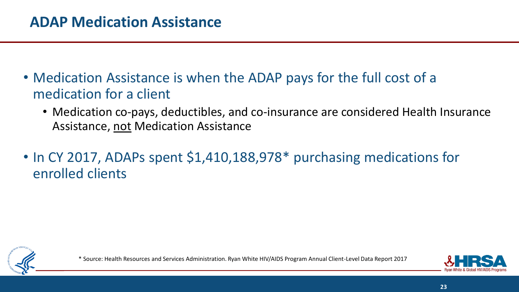- Medication Assistance is when the ADAP pays for the full cost of a medication for a client
	- Medication co-pays, deductibles, and co-insurance are considered Health Insurance Assistance, not Medication Assistance
- In CY 2017, ADAPs spent \$1,410,188,978<sup>\*</sup> purchasing medications for enrolled clients



\* Source: Health Resources and Services Administration. Ryan White HIV/AIDS Program Annual Client-Level Data Report 2017

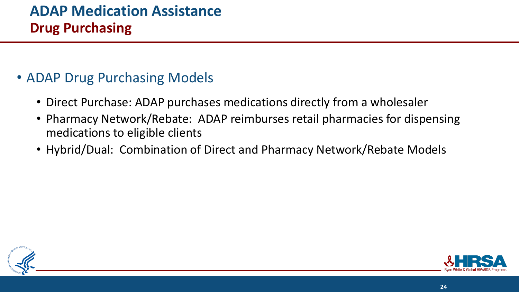# **ADAP Medication Assistance Drug Purchasing**

#### • ADAP Drug Purchasing Models

- Direct Purchase: ADAP purchases medications directly from a wholesaler
- Pharmacy Network/Rebate: ADAP reimburses retail pharmacies for dispensing medications to eligible clients
- Hybrid/Dual: Combination of Direct and Pharmacy Network/Rebate Models



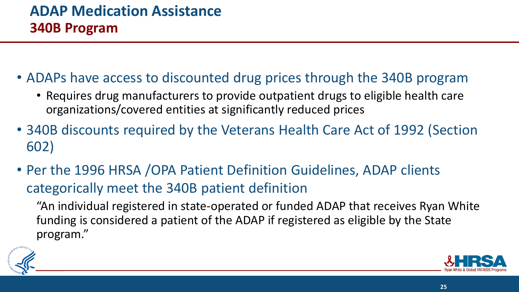- ADAPs have access to discounted drug prices through the 340B program
	- Requires drug manufacturers to provide outpatient drugs to eligible health care organizations/covered entities at significantly reduced prices
- 340B discounts required by the Veterans Health Care Act of 1992 (Section 602)
- Per the 1996 HRSA /OPA Patient Definition Guidelines, ADAP clients categorically meet the 340B patient definition

"An individual registered in state-operated or funded ADAP that receives Ryan White funding is considered a patient of the ADAP if registered as eligible by the State program."



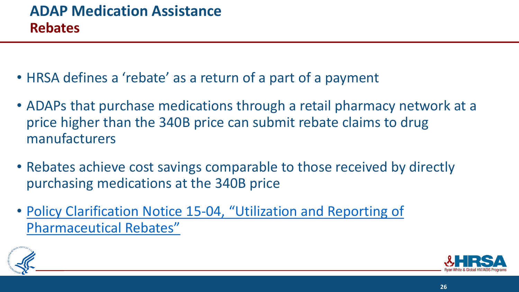- HRSA defines a 'rebate' as a return of a part of a payment
- ADAPs that purchase medications through a retail pharmacy network at a price higher than the 340B price can submit rebate claims to drug manufacturers
- Rebates achieve cost savings comparable to those received by directly purchasing medications at the 340B price
- Policy Clarification Notice 15-[04, "Utilization and Reporting of](https://hab.hrsa.gov/program-grants-management/policy-notices-and-program-letters)  Pharmaceutical Rebates"



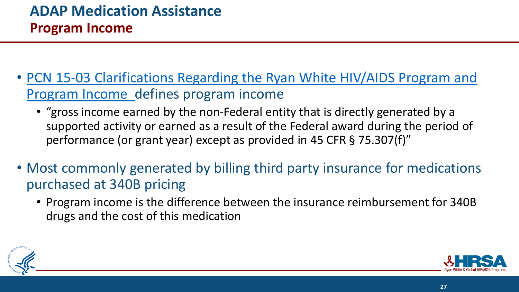- [PCN 15-03 Clarifications Regarding the Ryan White HIV/AIDS Program and](https://hab.hrsa.gov/sites/default/files/hab/Global/pcn_15-03_program_income.pdf)  Program Income defines program income
	- "gross income earned by the non-Federal entity that is directly generated by a supported activity or earned as a result of the Federal award during the period of performance (or grant year) except as provided in 45 CFR § 75.307(f)"
- Most commonly generated by billing third party insurance for medications purchased at 340B pricing
	- Program income is the difference between the insurance reimbursement for 340B drugs and the cost of this medication



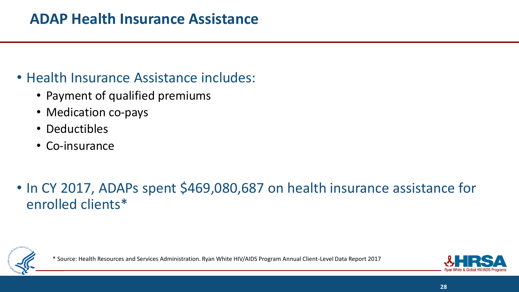# • Health Insurance Assistance includes:

- Payment of qualified premiums
- Medication co-pays
- Deductibles
- Co-insurance

# • In CY 2017, ADAPs spent \$469,080,687 on health insurance assistance for enrolled clients\*



\* Source: Health Resources and Services Administration. Ryan White HIV/AIDS Program Annual Client-Level Data Report 2017

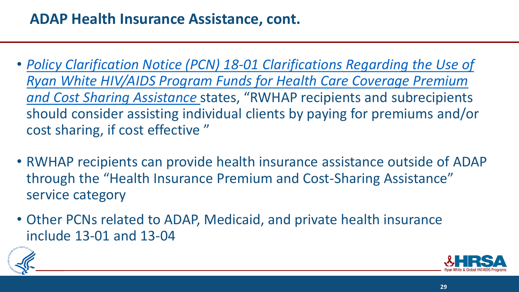- *Policy Clarification Notice (PCN) 18-01 Clarifications Regarding the Use of [Ryan White HIV/AIDS Program Funds for Health Care Coverage Premium](https://hab.hrsa.gov/sites/default/files/hab/program-grants-management/18-01-use-of-rwhap-funds-for-premium-and-cost-sharing-assistance.pdf)  and Cost Sharing Assistance* states, "RWHAP recipients and subrecipients should consider assisting individual clients by paying for premiums and/or cost sharing, if cost effective "
- RWHAP recipients can provide health insurance assistance outside of ADAP through the "Health Insurance Premium and Cost-Sharing Assistance" service category
- Other PCNs related to ADAP, Medicaid, and private health insurance include 13-01 and 13-04



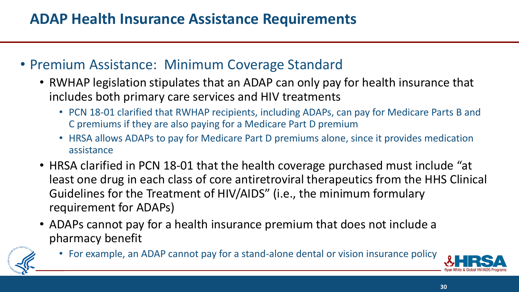# **ADAP Health Insurance Assistance Requirements**

#### • Premium Assistance: Minimum Coverage Standard

- RWHAP legislation stipulates that an ADAP can only pay for health insurance that includes both primary care services and HIV treatments
	- PCN 18-01 clarified that RWHAP recipients, including ADAPs, can pay for Medicare Parts B and C premiums if they are also paying for a Medicare Part D premium
	- HRSA allows ADAPs to pay for Medicare Part D premiums alone, since it provides medication assistance
- HRSA clarified in PCN 18-01 that the health coverage purchased must include "at least one drug in each class of core antiretroviral therapeutics from the HHS Clinical Guidelines for the Treatment of HIV/AIDS" (i.e., the minimum formulary requirement for ADAPs)
- ADAPs cannot pay for a health insurance premium that does not include a pharmacy benefit



• For example, an ADAP cannot pay for a stand-alone dental or vision insurance policy

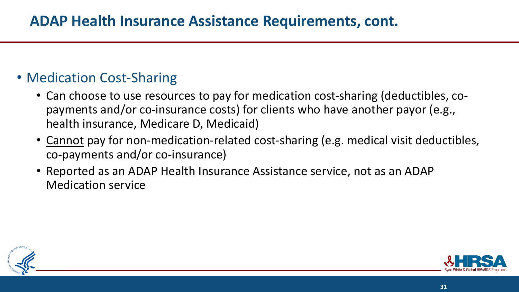# • Medication Cost-Sharing

- Can choose to use resources to pay for medication cost-sharing (deductibles, copayments and/or co-insurance costs) for clients who have another payor (e.g., health insurance, Medicare D, Medicaid)
- Cannot pay for non-medication-related cost-sharing (e.g. medical visit deductibles, co-payments and/or co-insurance)
- Reported as an ADAP Health Insurance Assistance service, not as an ADAP Medication service



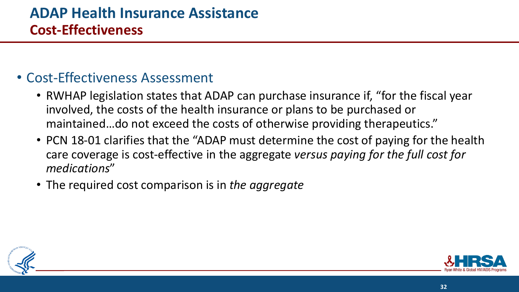#### • Cost-Effectiveness Assessment

- RWHAP legislation states that ADAP can purchase insurance if, "for the fiscal year involved, the costs of the health insurance or plans to be purchased or maintained…do not exceed the costs of otherwise providing therapeutics."
- PCN 18-01 clarifies that the "ADAP must determine the cost of paying for the health care coverage is cost-effective in the aggregate *versus paying for the full cost for medications*"
- The required cost comparison is in *the aggregate*



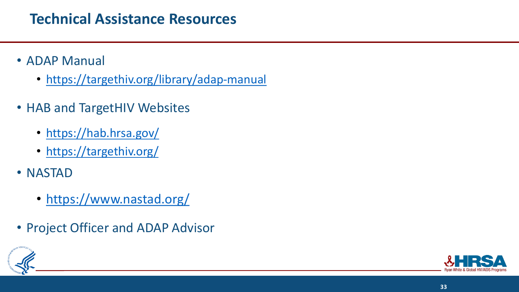# **Technical Assistance Resources**

- ADAP Manual
	- <https://targethiv.org/library/adap-manual>
- HAB and TargetHIV Websites
	- <https://hab.hrsa.gov/>
	- <https://targethiv.org/>
- NASTAD
	- <https://www.nastad.org/>
- Project Officer and ADAP Advisor



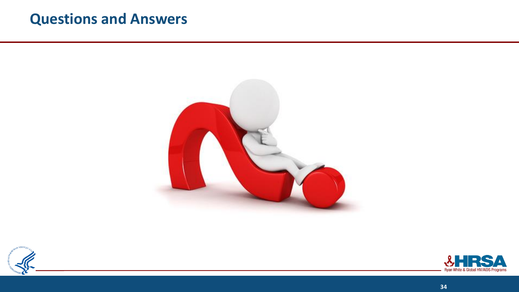#### **Questions and Answers**





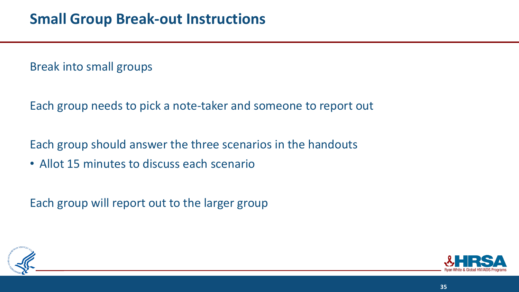Break into small groups

Each group needs to pick a note-taker and someone to report out

Each group should answer the three scenarios in the handouts

• Allot 15 minutes to discuss each scenario

Each group will report out to the larger group



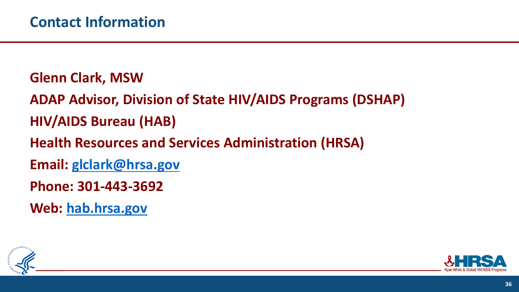**Glenn Clark, MSW**

**ADAP Advisor, Division of State HIV/AIDS Programs (DSHAP) HIV/AIDS Bureau (HAB)**

**Health Resources and Services Administration (HRSA)**

**Email: [glclark@hrsa.gov](mailto:glclark@hrsa.gov)**

**Phone: 301-443-3692**

**Web: [hab.hrsa.gov](http://hab.hrsa.gov/)**